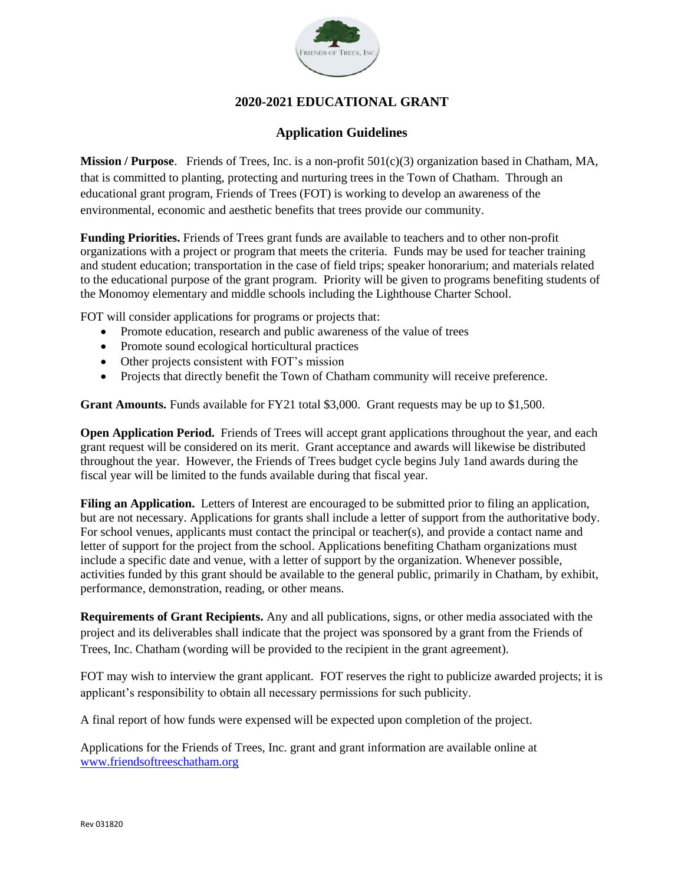

## **2020-2021 EDUCATIONAL GRANT**

### **Application Guidelines**

**Mission / Purpose**. Friends of Trees, Inc. is a non-profit 501(c)(3) organization based in Chatham, MA, that is committed to planting, protecting and nurturing trees in the Town of Chatham. Through an educational grant program, Friends of Trees (FOT) is working to develop an awareness of the environmental, economic and aesthetic benefits that trees provide our community.

**Funding Priorities.** Friends of Trees grant funds are available to teachers and to other non-profit organizations with a project or program that meets the criteria. Funds may be used for teacher training and student education; transportation in the case of field trips; speaker honorarium; and materials related to the educational purpose of the grant program. Priority will be given to programs benefiting students of the Monomoy elementary and middle schools including the Lighthouse Charter School.

FOT will consider applications for programs or projects that:

- Promote education, research and public awareness of the value of trees
- Promote sound ecological horticultural practices
- Other projects consistent with FOT's mission
- Projects that directly benefit the Town of Chatham community will receive preference.

**Grant Amounts.** Funds available for FY21 total \$3,000. Grant requests may be up to \$1,500.

**Open Application Period.** Friends of Trees will accept grant applications throughout the year, and each grant request will be considered on its merit. Grant acceptance and awards will likewise be distributed throughout the year. However, the Friends of Trees budget cycle begins July 1and awards during the fiscal year will be limited to the funds available during that fiscal year.

**Filing an Application.** Letters of Interest are encouraged to be submitted prior to filing an application, but are not necessary. Applications for grants shall include a letter of support from the authoritative body. For school venues, applicants must contact the principal or teacher(s), and provide a contact name and letter of support for the project from the school. Applications benefiting Chatham organizations must include a specific date and venue, with a letter of support by the organization. Whenever possible, activities funded by this grant should be available to the general public, primarily in Chatham, by exhibit, performance, demonstration, reading, or other means.

**Requirements of Grant Recipients.** Any and all publications, signs, or other media associated with the project and its deliverables shall indicate that the project was sponsored by a grant from the Friends of Trees, Inc. Chatham (wording will be provided to the recipient in the grant agreement).

FOT may wish to interview the grant applicant. FOT reserves the right to publicize awarded projects; it is applicant's responsibility to obtain all necessary permissions for such publicity.

A final report of how funds were expensed will be expected upon completion of the project.

Applications for the Friends of Trees, Inc. grant and grant information are available online at [www.friendsoftreeschatham.org](http://www.friendsoftreeschatham.org/)